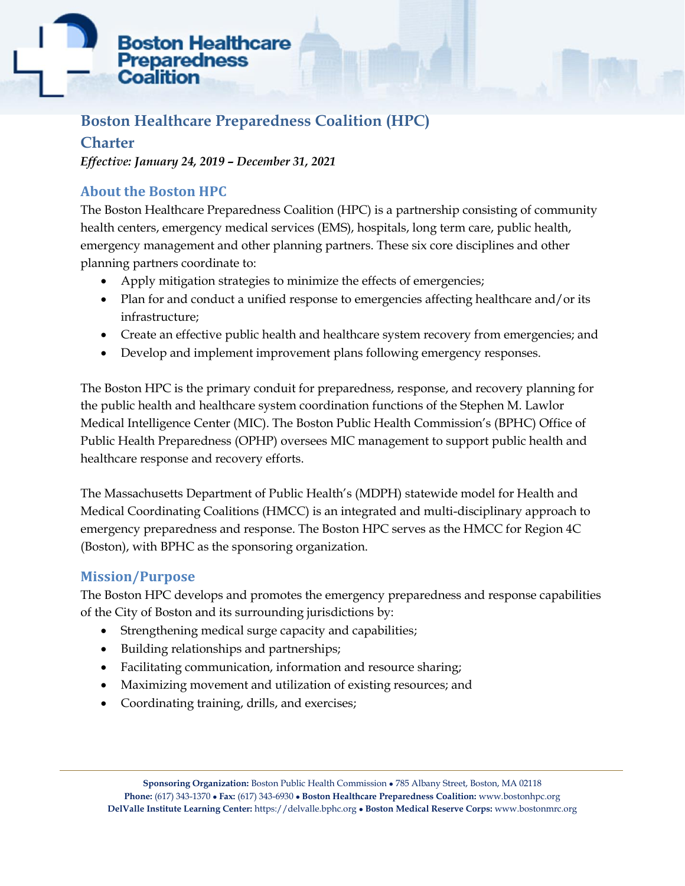# **Boston Healthcare Preparedness** Coal

# **Boston Healthcare Preparedness Coalition (HPC)**

# **Charter**

*Effective: January 24, 2019 – December 31, 2021*

# **About the Boston HPC**

The Boston Healthcare Preparedness Coalition (HPC) is a partnership consisting of community health centers, emergency medical services (EMS), hospitals, long term care, public health, emergency management and other planning partners. These six core disciplines and other planning partners coordinate to:

- Apply mitigation strategies to minimize the effects of emergencies;
- Plan for and conduct a unified response to emergencies affecting healthcare and/or its infrastructure;
- Create an effective public health and healthcare system recovery from emergencies; and
- Develop and implement improvement plans following emergency responses.

The Boston HPC is the primary conduit for preparedness, response, and recovery planning for the public health and healthcare system coordination functions of the Stephen M. Lawlor Medical Intelligence Center (MIC). The Boston Public Health Commission's (BPHC) Office of Public Health Preparedness (OPHP) oversees MIC management to support public health and healthcare response and recovery efforts.

The Massachusetts Department of Public Health's (MDPH) statewide model for Health and Medical Coordinating Coalitions (HMCC) is an integrated and multi-disciplinary approach to emergency preparedness and response. The Boston HPC serves as the HMCC for Region 4C (Boston), with BPHC as the sponsoring organization.

# **Mission/Purpose**

The Boston HPC develops and promotes the emergency preparedness and response capabilities of the City of Boston and its surrounding jurisdictions by:

- Strengthening medical surge capacity and capabilities;
- Building relationships and partnerships;
- Facilitating communication, information and resource sharing;
- Maximizing movement and utilization of existing resources; and
- Coordinating training, drills, and exercises;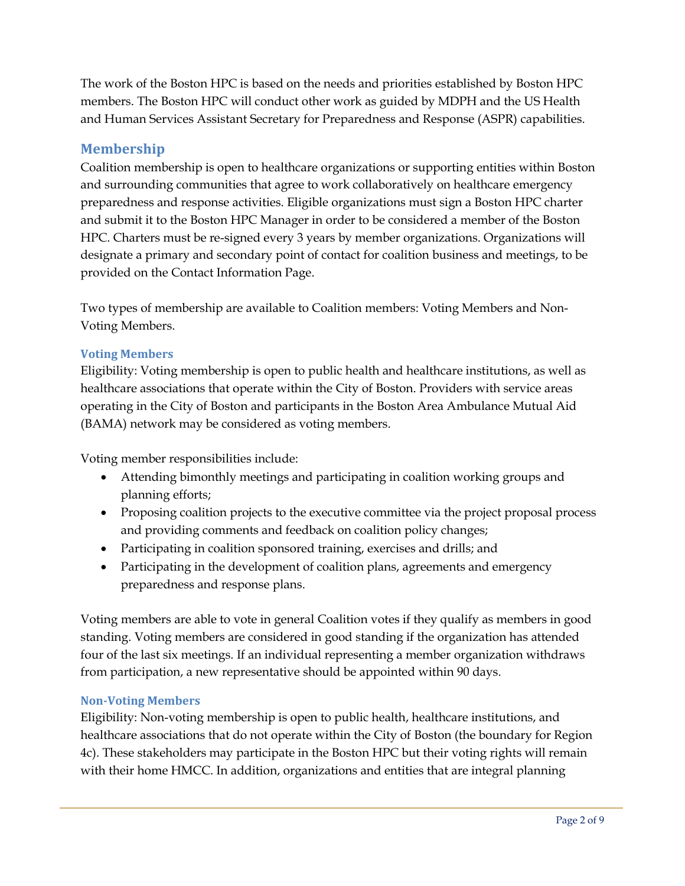The work of the Boston HPC is based on the needs and priorities established by Boston HPC members. The Boston HPC will conduct other work as guided by MDPH and the US Health and Human Services Assistant Secretary for Preparedness and Response (ASPR) capabilities.

## **Membership**

Coalition membership is open to healthcare organizations or supporting entities within Boston and surrounding communities that agree to work collaboratively on healthcare emergency preparedness and response activities. Eligible organizations must sign a Boston HPC charter and submit it to the Boston HPC Manager in order to be considered a member of the Boston HPC. Charters must be re-signed every 3 years by member organizations. Organizations will designate a primary and secondary point of contact for coalition business and meetings, to be provided on the Contact Information Page.

Two types of membership are available to Coalition members: Voting Members and Non-Voting Members.

## **Voting Members**

Eligibility: Voting membership is open to public health and healthcare institutions, as well as healthcare associations that operate within the City of Boston. Providers with service areas operating in the City of Boston and participants in the Boston Area Ambulance Mutual Aid (BAMA) network may be considered as voting members.

Voting member responsibilities include:

- Attending bimonthly meetings and participating in coalition working groups and planning efforts;
- Proposing coalition projects to the executive committee via the project proposal process and providing comments and feedback on coalition policy changes;
- Participating in coalition sponsored training, exercises and drills; and
- Participating in the development of coalition plans, agreements and emergency preparedness and response plans.

Voting members are able to vote in general Coalition votes if they qualify as members in good standing. Voting members are considered in good standing if the organization has attended four of the last six meetings. If an individual representing a member organization withdraws from participation, a new representative should be appointed within 90 days.

#### **Non-Voting Members**

Eligibility: Non-voting membership is open to public health, healthcare institutions, and healthcare associations that do not operate within the City of Boston (the boundary for Region 4c). These stakeholders may participate in the Boston HPC but their voting rights will remain with their home HMCC. In addition, organizations and entities that are integral planning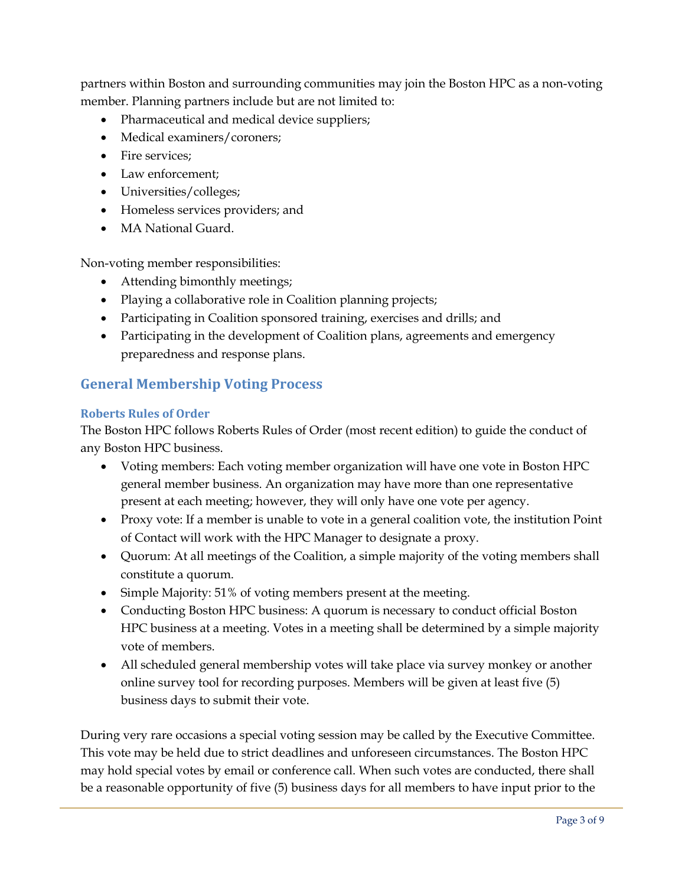partners within Boston and surrounding communities may join the Boston HPC as a non-voting member. Planning partners include but are not limited to:

- Pharmaceutical and medical device suppliers;
- Medical examiners/coroners;
- Fire services:
- Law enforcement:
- Universities/colleges;
- Homeless services providers; and
- MA National Guard.

Non-voting member responsibilities:

- Attending bimonthly meetings;
- Playing a collaborative role in Coalition planning projects;
- Participating in Coalition sponsored training, exercises and drills; and
- Participating in the development of Coalition plans, agreements and emergency preparedness and response plans.

# **General Membership Voting Process**

#### **Roberts Rules of Order**

The Boston HPC follows Roberts Rules of Order (most recent edition) to guide the conduct of any Boston HPC business.

- Voting members: Each voting member organization will have one vote in Boston HPC general member business. An organization may have more than one representative present at each meeting; however, they will only have one vote per agency.
- Proxy vote: If a member is unable to vote in a general coalition vote, the institution Point of Contact will work with the HPC Manager to designate a proxy.
- Quorum: At all meetings of the Coalition, a simple majority of the voting members shall constitute a quorum.
- Simple Majority: 51% of voting members present at the meeting.
- Conducting Boston HPC business: A quorum is necessary to conduct official Boston HPC business at a meeting. Votes in a meeting shall be determined by a simple majority vote of members.
- All scheduled general membership votes will take place via survey monkey or another online survey tool for recording purposes. Members will be given at least five (5) business days to submit their vote.

During very rare occasions a special voting session may be called by the Executive Committee. This vote may be held due to strict deadlines and unforeseen circumstances. The Boston HPC may hold special votes by email or conference call. When such votes are conducted, there shall be a reasonable opportunity of five (5) business days for all members to have input prior to the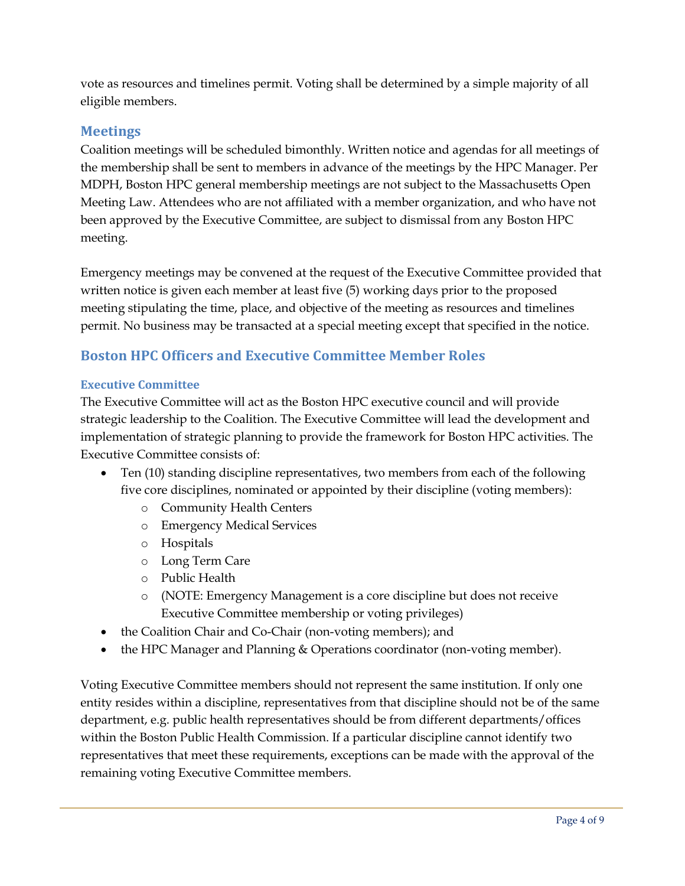vote as resources and timelines permit. Voting shall be determined by a simple majority of all eligible members.

## **Meetings**

Coalition meetings will be scheduled bimonthly. Written notice and agendas for all meetings of the membership shall be sent to members in advance of the meetings by the HPC Manager. Per MDPH, Boston HPC general membership meetings are not subject to the Massachusetts Open Meeting Law. Attendees who are not affiliated with a member organization, and who have not been approved by the Executive Committee, are subject to dismissal from any Boston HPC meeting.

Emergency meetings may be convened at the request of the Executive Committee provided that written notice is given each member at least five (5) working days prior to the proposed meeting stipulating the time, place, and objective of the meeting as resources and timelines permit. No business may be transacted at a special meeting except that specified in the notice.

# **Boston HPC Officers and Executive Committee Member Roles**

#### **Executive Committee**

The Executive Committee will act as the Boston HPC executive council and will provide strategic leadership to the Coalition. The Executive Committee will lead the development and implementation of strategic planning to provide the framework for Boston HPC activities. The Executive Committee consists of:

- Ten (10) standing discipline representatives, two members from each of the following five core disciplines, nominated or appointed by their discipline (voting members):
	- o Community Health Centers
	- o Emergency Medical Services
	- o Hospitals
	- o Long Term Care
	- o Public Health
	- o (NOTE: Emergency Management is a core discipline but does not receive Executive Committee membership or voting privileges)
- the Coalition Chair and Co-Chair (non-voting members); and
- the HPC Manager and Planning & Operations coordinator (non-voting member).

Voting Executive Committee members should not represent the same institution. If only one entity resides within a discipline, representatives from that discipline should not be of the same department, e.g. public health representatives should be from different departments/offices within the Boston Public Health Commission. If a particular discipline cannot identify two representatives that meet these requirements, exceptions can be made with the approval of the remaining voting Executive Committee members.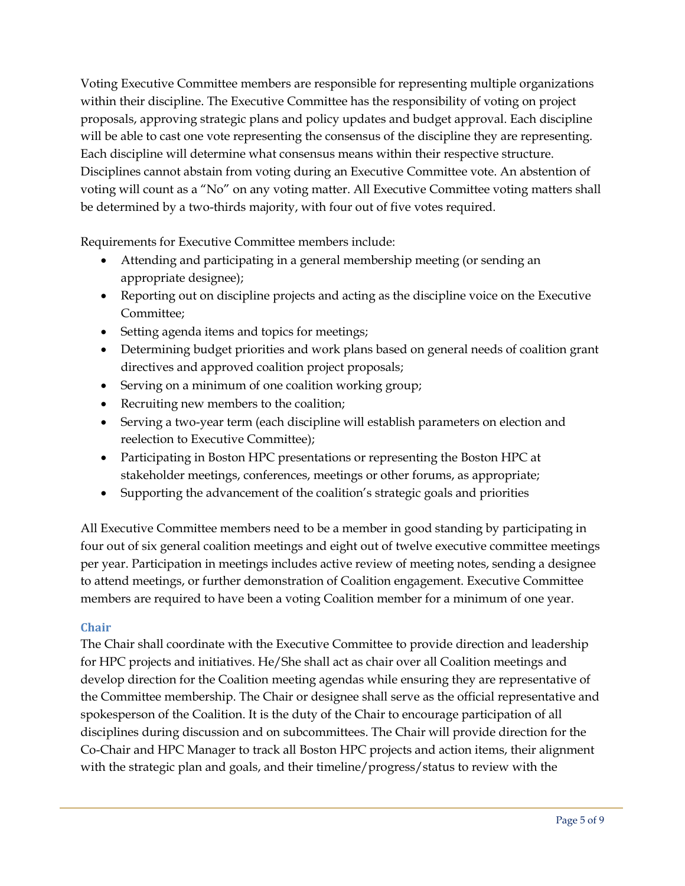Voting Executive Committee members are responsible for representing multiple organizations within their discipline. The Executive Committee has the responsibility of voting on project proposals, approving strategic plans and policy updates and budget approval. Each discipline will be able to cast one vote representing the consensus of the discipline they are representing. Each discipline will determine what consensus means within their respective structure. Disciplines cannot abstain from voting during an Executive Committee vote. An abstention of voting will count as a "No" on any voting matter. All Executive Committee voting matters shall be determined by a two-thirds majority, with four out of five votes required.

Requirements for Executive Committee members include:

- Attending and participating in a general membership meeting (or sending an appropriate designee);
- Reporting out on discipline projects and acting as the discipline voice on the Executive Committee;
- Setting agenda items and topics for meetings;
- Determining budget priorities and work plans based on general needs of coalition grant directives and approved coalition project proposals;
- Serving on a minimum of one coalition working group;
- Recruiting new members to the coalition;
- Serving a two-year term (each discipline will establish parameters on election and reelection to Executive Committee);
- Participating in Boston HPC presentations or representing the Boston HPC at stakeholder meetings, conferences, meetings or other forums, as appropriate;
- Supporting the advancement of the coalition's strategic goals and priorities

All Executive Committee members need to be a member in good standing by participating in four out of six general coalition meetings and eight out of twelve executive committee meetings per year. Participation in meetings includes active review of meeting notes, sending a designee to attend meetings, or further demonstration of Coalition engagement. Executive Committee members are required to have been a voting Coalition member for a minimum of one year.

#### **Chair**

The Chair shall coordinate with the Executive Committee to provide direction and leadership for HPC projects and initiatives. He/She shall act as chair over all Coalition meetings and develop direction for the Coalition meeting agendas while ensuring they are representative of the Committee membership. The Chair or designee shall serve as the official representative and spokesperson of the Coalition. It is the duty of the Chair to encourage participation of all disciplines during discussion and on subcommittees. The Chair will provide direction for the Co-Chair and HPC Manager to track all Boston HPC projects and action items, their alignment with the strategic plan and goals, and their timeline/progress/status to review with the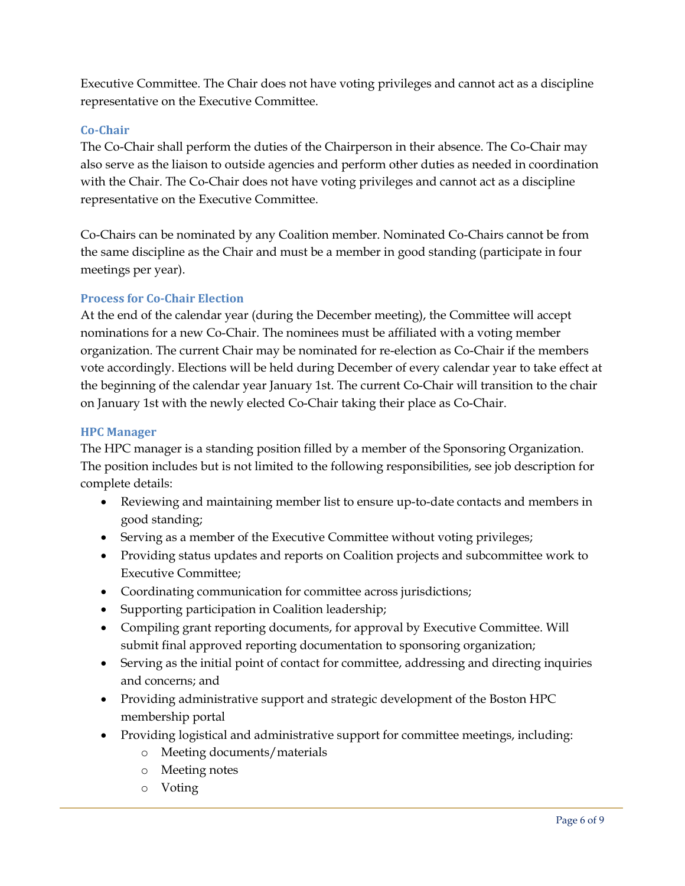Executive Committee. The Chair does not have voting privileges and cannot act as a discipline representative on the Executive Committee.

## **Co-Chair**

The Co-Chair shall perform the duties of the Chairperson in their absence. The Co-Chair may also serve as the liaison to outside agencies and perform other duties as needed in coordination with the Chair. The Co-Chair does not have voting privileges and cannot act as a discipline representative on the Executive Committee.

Co-Chairs can be nominated by any Coalition member. Nominated Co-Chairs cannot be from the same discipline as the Chair and must be a member in good standing (participate in four meetings per year).

#### **Process for Co-Chair Election**

At the end of the calendar year (during the December meeting), the Committee will accept nominations for a new Co-Chair. The nominees must be affiliated with a voting member organization. The current Chair may be nominated for re-election as Co-Chair if the members vote accordingly. Elections will be held during December of every calendar year to take effect at the beginning of the calendar year January 1st. The current Co-Chair will transition to the chair on January 1st with the newly elected Co-Chair taking their place as Co-Chair.

#### **HPC Manager**

The HPC manager is a standing position filled by a member of the Sponsoring Organization. The position includes but is not limited to the following responsibilities, see job description for complete details:

- Reviewing and maintaining member list to ensure up-to-date contacts and members in good standing;
- Serving as a member of the Executive Committee without voting privileges;
- Providing status updates and reports on Coalition projects and subcommittee work to Executive Committee;
- Coordinating communication for committee across jurisdictions;
- Supporting participation in Coalition leadership;
- Compiling grant reporting documents, for approval by Executive Committee. Will submit final approved reporting documentation to sponsoring organization;
- Serving as the initial point of contact for committee, addressing and directing inquiries and concerns; and
- Providing administrative support and strategic development of the Boston HPC membership portal
- Providing logistical and administrative support for committee meetings, including:
	- o Meeting documents/materials
	- o Meeting notes
	- o Voting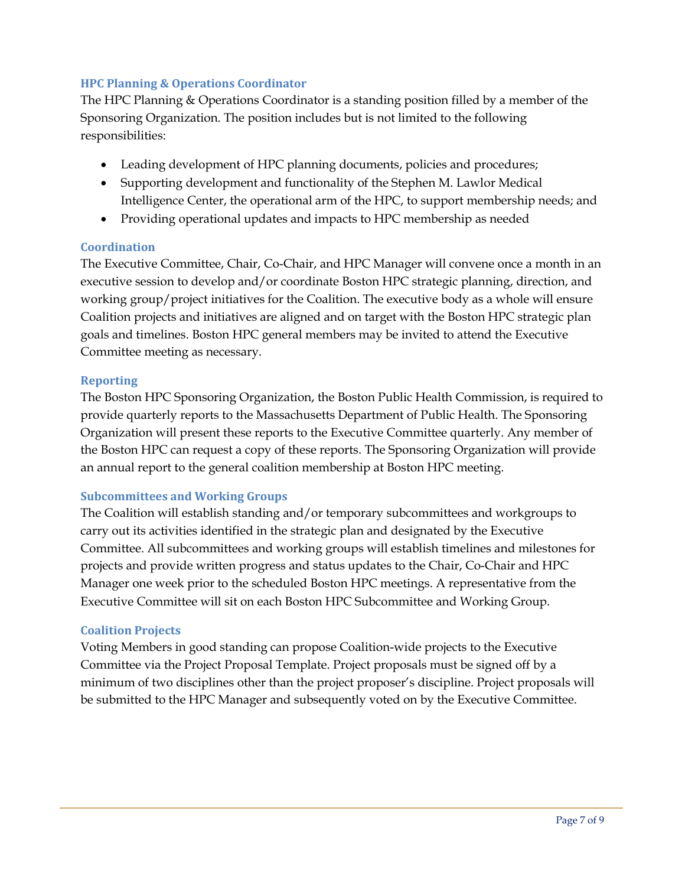## **HPC Planning & Operations Coordinator**

The HPC Planning & Operations Coordinator is a standing position filled by a member of the Sponsoring Organization. The position includes but is not limited to the following responsibilities:

- Leading development of HPC planning documents, policies and procedures;
- Supporting development and functionality of the Stephen M. Lawlor Medical Intelligence Center, the operational arm of the HPC, to support membership needs; and
- Providing operational updates and impacts to HPC membership as needed

#### **Coordination**

The Executive Committee, Chair, Co-Chair, and HPC Manager will convene once a month in an executive session to develop and/or coordinate Boston HPC strategic planning, direction, and working group/project initiatives for the Coalition. The executive body as a whole will ensure Coalition projects and initiatives are aligned and on target with the Boston HPC strategic plan goals and timelines. Boston HPC general members may be invited to attend the Executive Committee meeting as necessary.

#### **Reporting**

The Boston HPC Sponsoring Organization, the Boston Public Health Commission, is required to provide quarterly reports to the Massachusetts Department of Public Health. The Sponsoring Organization will present these reports to the Executive Committee quarterly. Any member of the Boston HPC can request a copy of these reports. The Sponsoring Organization will provide an annual report to the general coalition membership at Boston HPC meeting.

#### **Subcommittees and Working Groups**

The Coalition will establish standing and/or temporary subcommittees and workgroups to carry out its activities identified in the strategic plan and designated by the Executive Committee. All subcommittees and working groups will establish timelines and milestones for projects and provide written progress and status updates to the Chair, Co-Chair and HPC Manager one week prior to the scheduled Boston HPC meetings. A representative from the Executive Committee will sit on each Boston HPC Subcommittee and Working Group.

#### **Coalition Projects**

Voting Members in good standing can propose Coalition-wide projects to the Executive Committee via the Project Proposal Template. Project proposals must be signed off by a minimum of two disciplines other than the project proposer's discipline. Project proposals will be submitted to the HPC Manager and subsequently voted on by the Executive Committee.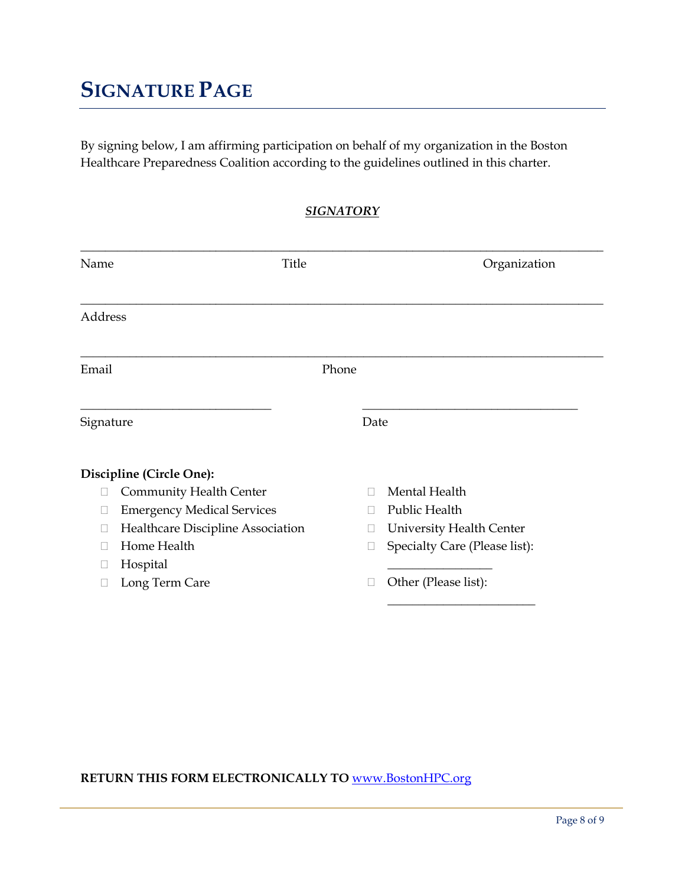# **SIGNATURE PAGE**

By signing below, I am affirming participation on behalf of my organization in the Boston Healthcare Preparedness Coalition according to the guidelines outlined in this charter.

*SIGNATORY*

| Name      | Title                             |       |        | Organization                    |
|-----------|-----------------------------------|-------|--------|---------------------------------|
| Address   |                                   |       |        |                                 |
| Email     |                                   | Phone |        |                                 |
| Signature |                                   |       | Date   |                                 |
|           | Discipline (Circle One):          |       |        |                                 |
|           | Community Health Center           |       |        | Mental Health                   |
|           | <b>Emergency Medical Services</b> |       | $\Box$ | Public Health                   |
|           | Healthcare Discipline Association |       |        | <b>University Health Center</b> |
|           | Home Health                       |       |        | Specialty Care (Please list):   |
|           | Hospital                          |       |        |                                 |
|           | Long Term Care                    |       |        | Other (Please list):            |
|           |                                   |       |        |                                 |

## **RETURN THIS FORM ELECTRONICALLY TO** [www.BostonHPC.org](http://www.bostonhpc.org/)